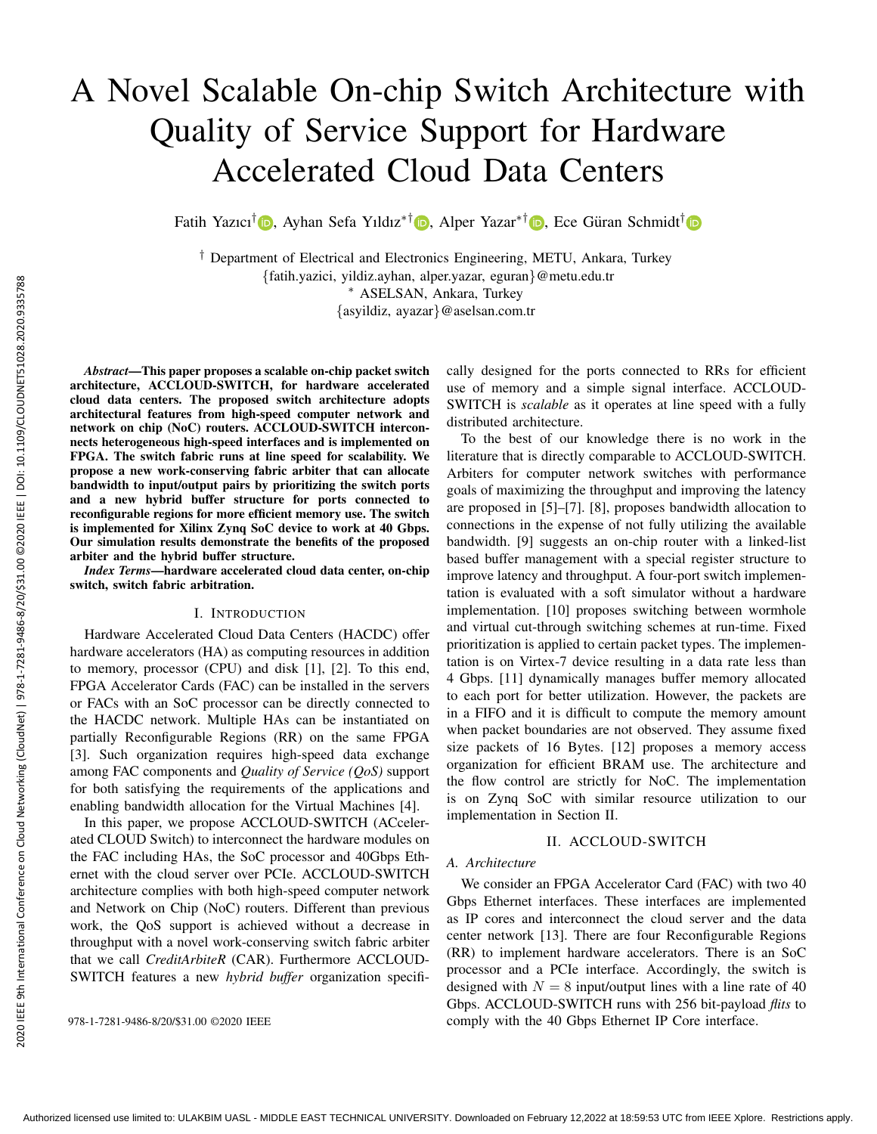# A Novel Scalable On-chip Switch Architecture with Quality of Service Support for Hardware Accelerated Cloud Data Centers

Fatih Yazıcı<sup>†</sup> D, Ayhan Sefa Yıldız<sup>∗†</sup> D, Alper Yazar<sup>∗†</sup> D, Ece Güran Schmidt<sup>†</sup> D

† Department of Electrical and Electronics Engineering, METU, Ankara, Turkey {fatih.yazici, yildiz.ayhan, alper.yazar, eguran}@metu.edu.tr ∗ ASELSAN, Ankara, Turkey {asyildiz, ayazar}@aselsan.com.tr

*Abstract*—This paper proposes a scalable on-chip packet switch architecture, ACCLOUD-SWITCH, for hardware accelerated cloud data centers. The proposed switch architecture adopts architectural features from high-speed computer network and network on chip (NoC) routers. ACCLOUD-SWITCH interconnects heterogeneous high-speed interfaces and is implemented on FPGA. The switch fabric runs at line speed for scalability. We propose a new work-conserving fabric arbiter that can allocate bandwidth to input/output pairs by prioritizing the switch ports and a new hybrid buffer structure for ports connected to reconfigurable regions for more efficient memory use. The switch is implemented for Xilinx Zynq SoC device to work at 40 Gbps. Our simulation results demonstrate the benefits of the proposed arbiter and the hybrid buffer structure.

*Index Terms*—hardware accelerated cloud data center, on-chip switch, switch fabric arbitration.

### I. INTRODUCTION

Hardware Accelerated Cloud Data Centers (HACDC) offer hardware accelerators (HA) as computing resources in addition to memory, processor (CPU) and disk [1], [2]. To this end, FPGA Accelerator Cards (FAC) can be installed in the servers or FACs with an SoC processor can be directly connected to the HACDC network. Multiple HAs can be instantiated on partially Reconfigurable Regions (RR) on the same FPGA [3]. Such organization requires high-speed data exchange among FAC components and *Quality of Service (QoS)* support for both satisfying the requirements of the applications and enabling bandwidth allocation for the Virtual Machines [4].

In this paper, we propose ACCLOUD-SWITCH (ACcelerated CLOUD Switch) to interconnect the hardware modules on the FAC including HAs, the SoC processor and 40Gbps Ethernet with the cloud server over PCIe. ACCLOUD-SWITCH architecture complies with both high-speed computer network and Network on Chip (NoC) routers. Different than previous work, the QoS support is achieved without a decrease in throughput with a novel work-conserving switch fabric arbiter that we call *CreditArbiteR* (CAR). Furthermore ACCLOUD-SWITCH features a new *hybrid buffer* organization specifi-

cally designed for the ports connected to RRs for efficient use of memory and a simple signal interface. ACCLOUD-SWITCH is *scalable* as it operates at line speed with a fully distributed architecture.

To the best of our knowledge there is no work in the literature that is directly comparable to ACCLOUD-SWITCH. Arbiters for computer network switches with performance goals of maximizing the throughput and improving the latency are proposed in [5]–[7]. [8], proposes bandwidth allocation to connections in the expense of not fully utilizing the available bandwidth. [9] suggests an on-chip router with a linked-list based buffer management with a special register structure to improve latency and throughput. A four-port switch implementation is evaluated with a soft simulator without a hardware implementation. [10] proposes switching between wormhole and virtual cut-through switching schemes at run-time. Fixed prioritization is applied to certain packet types. The implementation is on Virtex-7 device resulting in a data rate less than 4 Gbps. [11] dynamically manages buffer memory allocated to each port for better utilization. However, the packets are in a FIFO and it is difficult to compute the memory amount when packet boundaries are not observed. They assume fixed size packets of 16 Bytes. [12] proposes a memory access organization for efficient BRAM use. The architecture and the flow control are strictly for NoC. The implementation is on Zynq SoC with similar resource utilization to our implementation in Section II.

### II. ACCLOUD-SWITCH

#### *A. Architecture*

We consider an FPGA Accelerator Card (FAC) with two 40 Gbps Ethernet interfaces. These interfaces are implemented as IP cores and interconnect the cloud server and the data center network [13]. There are four Reconfigurable Regions (RR) to implement hardware accelerators. There is an SoC processor and a PCIe interface. Accordingly, the switch is designed with  $N = 8$  input/output lines with a line rate of 40 Gbps. ACCLOUD-SWITCH runs with 256 bit-payload *flits* to 978-1-7281-9486-8/20/\$31.00 ©2020 IEEE comply with the 40 Gbps Ethernet IP Core interface.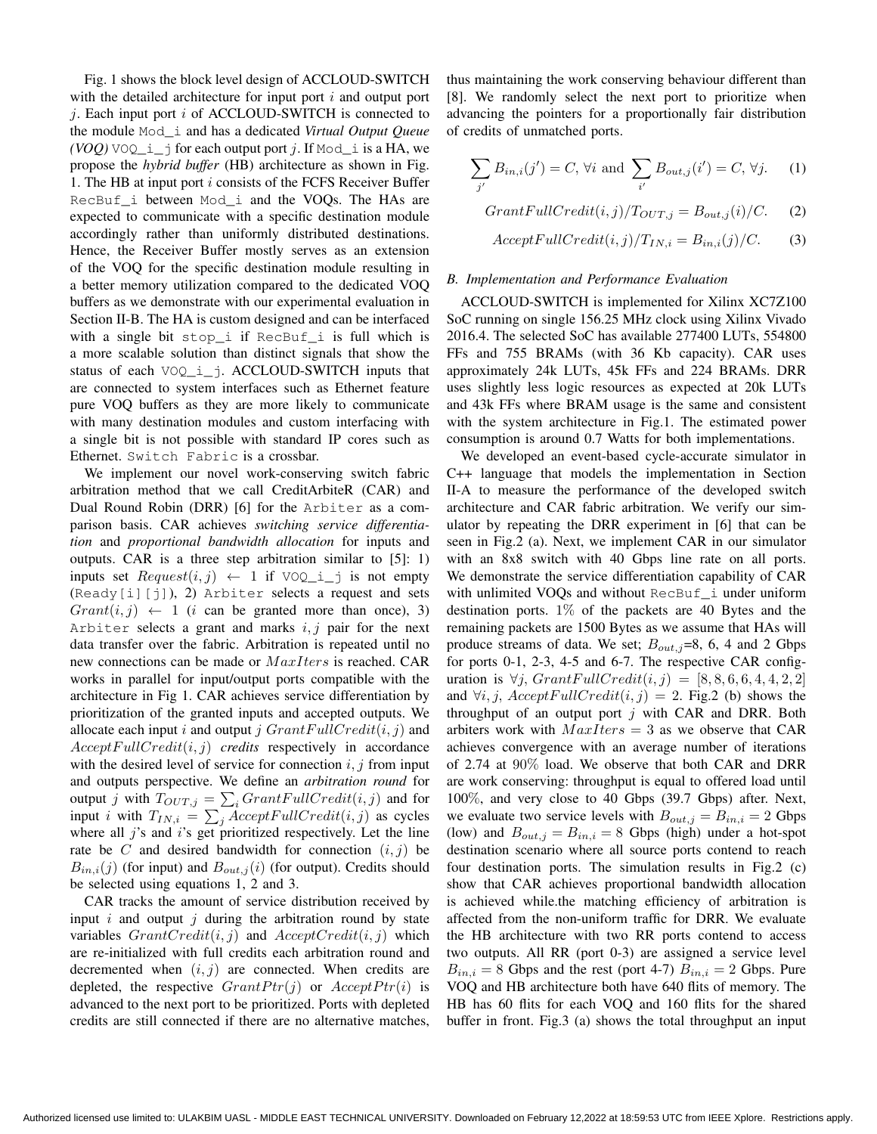Fig. 1 shows the block level design of ACCLOUD-SWITCH with the detailed architecture for input port  $i$  and output port  $j$ . Each input port  $i$  of ACCLOUD-SWITCH is connected to the module Mod\_i and has a dedicated *Virtual Output Queue*  $(VOQ)$  VOQ<sub>\_</sub>i\_j for each output port j. If Mod\_i is a HA, we propose the *hybrid buffer* (HB) architecture as shown in Fig. 1. The HB at input port i consists of the FCFS Receiver Buffer RecBuf i between Mod i and the VOQs. The HAs are expected to communicate with a specific destination module accordingly rather than uniformly distributed destinations. Hence, the Receiver Buffer mostly serves as an extension of the VOQ for the specific destination module resulting in a better memory utilization compared to the dedicated VOQ buffers as we demonstrate with our experimental evaluation in Section II-B. The HA is custom designed and can be interfaced with a single bit stop\_i if RecBuf\_i is full which is a more scalable solution than distinct signals that show the status of each VOQ\_i\_j. ACCLOUD-SWITCH inputs that are connected to system interfaces such as Ethernet feature pure VOQ buffers as they are more likely to communicate with many destination modules and custom interfacing with a single bit is not possible with standard IP cores such as Ethernet. Switch Fabric is a crossbar.

We implement our novel work-conserving switch fabric arbitration method that we call CreditArbiteR (CAR) and Dual Round Robin (DRR) [6] for the Arbiter as a comparison basis. CAR achieves *switching service differentiation* and *proportional bandwidth allocation* for inputs and outputs. CAR is a three step arbitration similar to [5]: 1) inputs set  $Request(i, j) \leftarrow 1$  if VOQ i j is not empty  $($ Ready $[i][j])$ , 2) Arbiter selects a request and sets  $Grant(i, j) \leftarrow 1$  (*i* can be granted more than once), 3) Arbiter selects a grant and marks  $i, j$  pair for the next data transfer over the fabric. Arbitration is repeated until no new connections can be made or  $MaxIters$  is reached. CAR works in parallel for input/output ports compatible with the architecture in Fig 1. CAR achieves service differentiation by prioritization of the granted inputs and accepted outputs. We allocate each input i and output j  $Grant FullCredit(i, j)$  and  $Accept FullCredit(i, j)$  *credits* respectively in accordance with the desired level of service for connection  $i, j$  from input and outputs perspective. We define an *arbitration round* for output j with  $T_{OUT,j} = \sum_i GrantFullCredit(i, j)$  and for input *i* with  $T_{IN,i} = \sum_{j} \text{AcceptFullCredit}(i, j)$  as cycles where all  $j$ 's and  $i$ 's get prioritized respectively. Let the line rate be C and desired bandwidth for connection  $(i, j)$  be  $B_{in,i}(j)$  (for input) and  $B_{out,i}(i)$  (for output). Credits should be selected using equations 1, 2 and 3.

CAR tracks the amount of service distribution received by input  $i$  and output  $j$  during the arbitration round by state variables  $GrandCredit(i, j)$  and  $AcceptCredit(i, j)$  which are re-initialized with full credits each arbitration round and decremented when  $(i, j)$  are connected. When credits are depleted, the respective  $GrantPtr(i)$  or  $AcceptPtr(i)$  is advanced to the next port to be prioritized. Ports with depleted credits are still connected if there are no alternative matches, thus maintaining the work conserving behaviour different than [8]. We randomly select the next port to prioritize when advancing the pointers for a proportionally fair distribution of credits of unmatched ports.

$$
\sum_{j'} B_{in,i}(j') = C, \forall i \text{ and } \sum_{i'} B_{out,j}(i') = C, \forall j. \tag{1}
$$

$$
GrantFull Credit(i, j) / T_{OUT, j} = B_{out, j}(i) / C.
$$
 (2)

$$
AcceptFull Credit(i, j)/T_{IN,i} = B_{in,i}(j)/C.
$$
 (3)

#### *B. Implementation and Performance Evaluation*

ACCLOUD-SWITCH is implemented for Xilinx XC7Z100 SoC running on single 156.25 MHz clock using Xilinx Vivado 2016.4. The selected SoC has available 277400 LUTs, 554800 FFs and 755 BRAMs (with 36 Kb capacity). CAR uses approximately 24k LUTs, 45k FFs and 224 BRAMs. DRR uses slightly less logic resources as expected at 20k LUTs and 43k FFs where BRAM usage is the same and consistent with the system architecture in Fig.1. The estimated power consumption is around 0.7 Watts for both implementations.

We developed an event-based cycle-accurate simulator in C++ language that models the implementation in Section II-A to measure the performance of the developed switch architecture and CAR fabric arbitration. We verify our simulator by repeating the DRR experiment in [6] that can be seen in Fig.2 (a). Next, we implement CAR in our simulator with an 8x8 switch with 40 Gbps line rate on all ports. We demonstrate the service differentiation capability of CAR with unlimited VOOs and without RecBuf i under uniform destination ports. 1% of the packets are 40 Bytes and the remaining packets are 1500 Bytes as we assume that HAs will produce streams of data. We set;  $B_{out,j}=8$ , 6, 4 and 2 Gbps for ports 0-1, 2-3, 4-5 and 6-7. The respective CAR configuration is  $\forall j$ , GrantFullCredit $(i, j) = [8, 8, 6, 6, 4, 4, 2, 2]$ and  $\forall i, j, Accept FullCredit(i, j)=2$ . Fig.2 (b) shows the throughput of an output port  $j$  with CAR and DRR. Both arbiters work with  $MaxIters = 3$  as we observe that CAR achieves convergence with an average number of iterations of 2.74 at 90% load. We observe that both CAR and DRR are work conserving: throughput is equal to offered load until 100%, and very close to 40 Gbps (39.7 Gbps) after. Next, we evaluate two service levels with  $B_{out,j} = B_{in,i} = 2$  Gbps (low) and  $B_{out,j} = B_{in,i} = 8$  Gbps (high) under a hot-spot destination scenario where all source ports contend to reach four destination ports. The simulation results in Fig.2 (c) show that CAR achieves proportional bandwidth allocation is achieved while.the matching efficiency of arbitration is affected from the non-uniform traffic for DRR. We evaluate the HB architecture with two RR ports contend to access two outputs. All RR (port 0-3) are assigned a service level  $B_{in,i} = 8$  Gbps and the rest (port 4-7)  $B_{in,i} = 2$  Gbps. Pure VOQ and HB architecture both have 640 flits of memory. The HB has 60 flits for each VOQ and 160 flits for the shared buffer in front. Fig.3 (a) shows the total throughput an input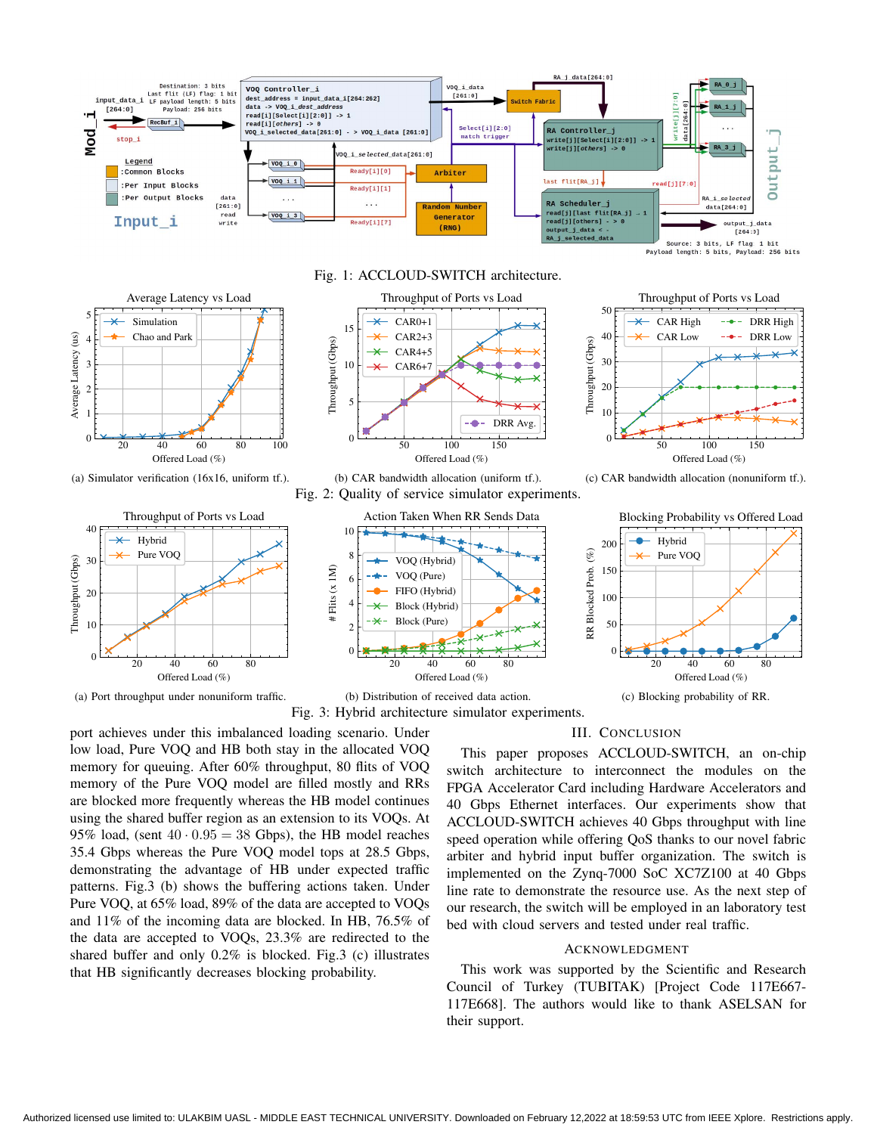



(a) Simulator verification (16x16, uniform tf.).





Fig. 1: ACCLOUD-SWITCH architecture.

(b) CAR bandwidth allocation (uniform tf.). Fig. 2: Quality of service simulator experiments.



Fig. 3: Hybrid architecture simulator experiments.

port achieves under this imbalanced loading scenario. Under low load, Pure VOQ and HB both stay in the allocated VOQ memory for queuing. After 60% throughput, 80 flits of VOQ memory of the Pure VOQ model are filled mostly and RRs are blocked more frequently whereas the HB model continues using the shared buffer region as an extension to its VOQs. At 95% load, (sent  $40 \cdot 0.95 = 38$  Gbps), the HB model reaches 35.4 Gbps whereas the Pure VOQ model tops at 28.5 Gbps, demonstrating the advantage of HB under expected traffic patterns. Fig.3 (b) shows the buffering actions taken. Under Pure VOQ, at 65% load, 89% of the data are accepted to VOQs and 11% of the incoming data are blocked. In HB, 76.5% of the data are accepted to VOQs, 23.3% are redirected to the shared buffer and only 0.2% is blocked. Fig.3 (c) illustrates that HB significantly decreases blocking probability.

## III. CONCLUSION

Throughput (Gbps)

Throughput (Gbps)

This paper proposes ACCLOUD-SWITCH, an on-chip switch architecture to interconnect the modules on the FPGA Accelerator Card including Hardware Accelerators and 40 Gbps Ethernet interfaces. Our experiments show that ACCLOUD-SWITCH achieves 40 Gbps throughput with line speed operation while offering QoS thanks to our novel fabric arbiter and hybrid input buffer organization. The switch is implemented on the Zynq-7000 SoC XC7Z100 at 40 Gbps line rate to demonstrate the resource use. As the next step of our research, the switch will be employed in an laboratory test bed with cloud servers and tested under real traffic.

#### ACKNOWLEDGMENT

This work was supported by the Scientific and Research Council of Turkey (TUBITAK) [Project Code 117E667- 117E668]. The authors would like to thank ASELSAN for their support.

(c) CAR bandwidth allocation (nonuniform tf.).

50 100 150 Offered Load (%)

Throughput of Ports vs Load

DRR High DRR Low

CAR High CAR Low